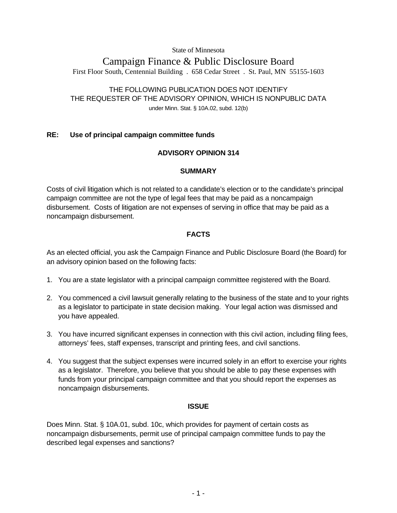State of Minnesota

# Campaign Finance & Public Disclosure Board First Floor South, Centennial Building . 658 Cedar Street . St. Paul, MN 55155-1603

# THE FOLLOWING PUBLICATION DOES NOT IDENTIFY THE REQUESTER OF THE ADVISORY OPINION, WHICH IS NONPUBLIC DATA under Minn. Stat. § 10A.02, subd. 12(b)

## **RE: Use of principal campaign committee funds**

## **ADVISORY OPINION 314**

### **SUMMARY**

Costs of civil litigation which is not related to a candidate's election or to the candidate's principal campaign committee are not the type of legal fees that may be paid as a noncampaign disbursement. Costs of litigation are not expenses of serving in office that may be paid as a noncampaign disbursement.

## **FACTS**

As an elected official, you ask the Campaign Finance and Public Disclosure Board (the Board) for an advisory opinion based on the following facts:

- 1. You are a state legislator with a principal campaign committee registered with the Board.
- 2. You commenced a civil lawsuit generally relating to the business of the state and to your rights as a legislator to participate in state decision making. Your legal action was dismissed and you have appealed.
- 3. You have incurred significant expenses in connection with this civil action, including filing fees, attorneys' fees, staff expenses, transcript and printing fees, and civil sanctions.
- 4. You suggest that the subject expenses were incurred solely in an effort to exercise your rights as a legislator. Therefore, you believe that you should be able to pay these expenses with funds from your principal campaign committee and that you should report the expenses as noncampaign disbursements.

### **ISSUE**

Does Minn. Stat. § 10A.01, subd. 10c, which provides for payment of certain costs as noncampaign disbursements, permit use of principal campaign committee funds to pay the described legal expenses and sanctions?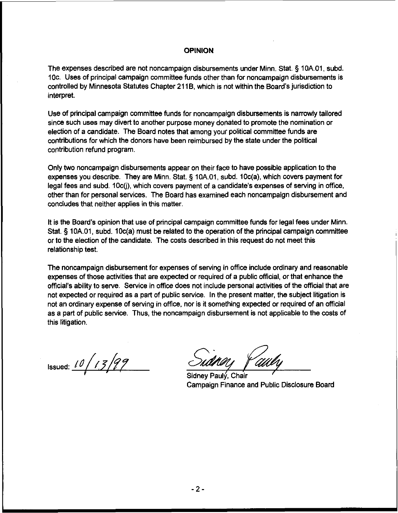#### **OPINION**

The expenses described are not noncampaign disbursements under Minn. Stat. **5** 10A.O1, subd. 10c. Uses of principal campaign committee funds other than for noncampaign disbursements is controlled by Minnesota Statutes Chapter 21 18, which is not within the Board's jurisdiction to interpret.

Use of principal campaign committee funds for noncampaign disbursements is narrowly tailored since such uses may divert to another purpose money donated to promote the nomination or election of a candidate. The Board notes that among your political committee funds are contributions for which the donors have been reimbursed by the state under the political contribution refund program.

Only two noncampaign disbursements appear on their face to have possible application to the expenses you describe. They are Minn. Stat. **5** 10A.O1, subd. 10c(a), which covers payment for legal fees and subd. 10c(j), which covers payment of a candidate's expenses of serving in office, other than for personal services. The Board has examined each noncampaign disbursement and concludes that neither applies in this matter.

It is the Board's opinion that use of principal campaign committee funds for legal fees under Minn. Stat. **5** 10A.O1, subd. 10c(a) must be related to the operation of the principal campaign committee or to the election of the candidate. The costs described in this request do not meet this relationship test.

The noncampaign disbursement for expenses of serving in office include ordinary and reasonable expenses of those activities that are expected or required of a public official, or that enhance the official's ability to serve. Service in office does not include personal activities of the official that are not expected or required as a part of public service. In the present matter, the subject litigation is not an ordinary expense of serving in office, nor is it something expected or required of an official as a part of public service. Thus, the noncampaign disbursement is not applicable to the costs of this litigation.

Issued:  $10/13/99$ 

Sidnev Paulý, Chair campaign Finance and Public Disclosure Board